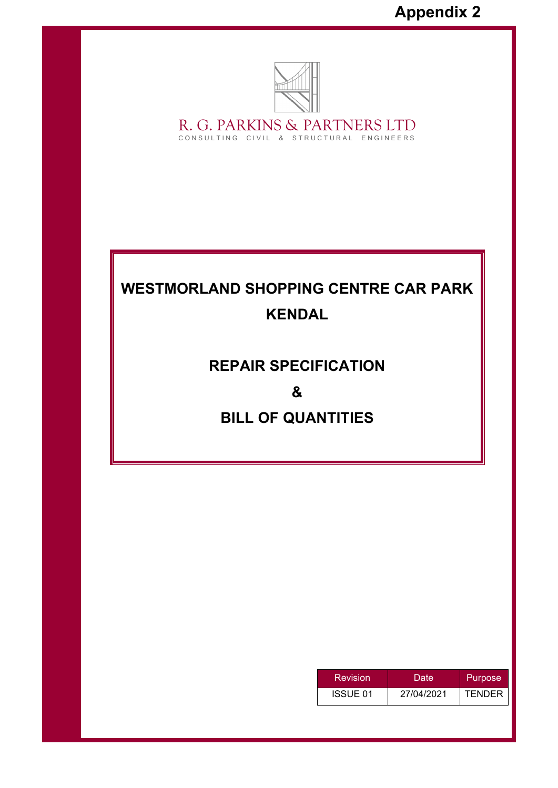

R. G. PARKINS & PARTNERS LTD CONSULTING CIVIL & STRUCTURAL ENGINEERS

# **WESTMORLAND SHOPPING CENTRE CAR PARK KENDAL**

## **REPAIR SPECIFICATION**

**&** 

## **BILL OF QUANTITIES**

| Revision | Date       | Purpose       |
|----------|------------|---------------|
| ISSUE 01 | 27/04/2021 | <b>TENDER</b> |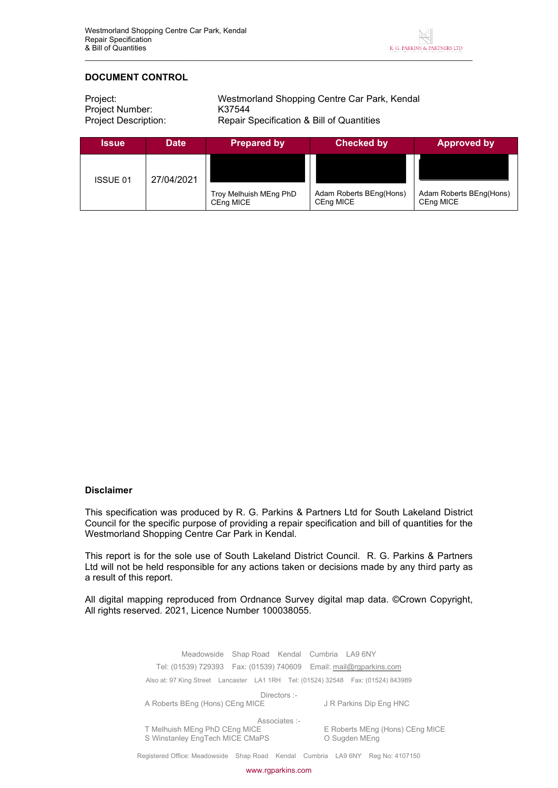

## **DOCUMENT CONTROL**

| Project:             | Westmorland Shopping Centre Car Park, Kendal |
|----------------------|----------------------------------------------|
| Project Number:      | K37544                                       |
| Project Description: | Repair Specification & Bill of Quantities    |

| <b>Issue</b>    | <b>Date</b> | <b>Prepared by</b>                  | <b>Checked by</b>                    | <b>Approved by</b>                   |
|-----------------|-------------|-------------------------------------|--------------------------------------|--------------------------------------|
| <b>ISSUE 01</b> | 27/04/2021  |                                     |                                      |                                      |
|                 |             | Troy Melhuish MEng PhD<br>CEng MICE | Adam Roberts BEng(Hons)<br>CEng MICE | Adam Roberts BEng(Hons)<br>CEng MICE |

#### **Disclaimer**

This specification was produced by R. G. Parkins & Partners Ltd for South Lakeland District Council for the specific purpose of providing a repair specification and bill of quantities for the Westmorland Shopping Centre Car Park in Kendal.

This report is for the sole use of South Lakeland District Council. R. G. Parkins & Partners Ltd will not be held responsible for any actions taken or decisions made by any third party as a result of this report.

All digital mapping reproduced from Ordnance Survey digital map data. ©Crown Copyright, All rights reserved. 2021, Licence Number 100038055.

> Meadowside Shap Road Kendal Cumbria LA9 6NY Tel: (01539) 729393 Fax: (01539) 740609 Email: mail@rgparkins.com Also at: 97 King Street Lancaster LA1 1RH Tel: (01524) 32548 Fax: (01524) 843989 Directors :-A Roberts BEng (Hons) CEng MICE J R Parkins Dip Eng HNC Associates :-<br>T Melhuish MEng PhD CEng MICE T Melhuish MEng PhD CEng MICE E Roberts MEng (Hons) CEng MICE S Winstanley EngTech MICE CMaPS **COMING A CONTEX** O Sugden MEng

Registered Office: Meadowside Shap Road Kendal Cumbria LA9 6NY Reg No: 4107150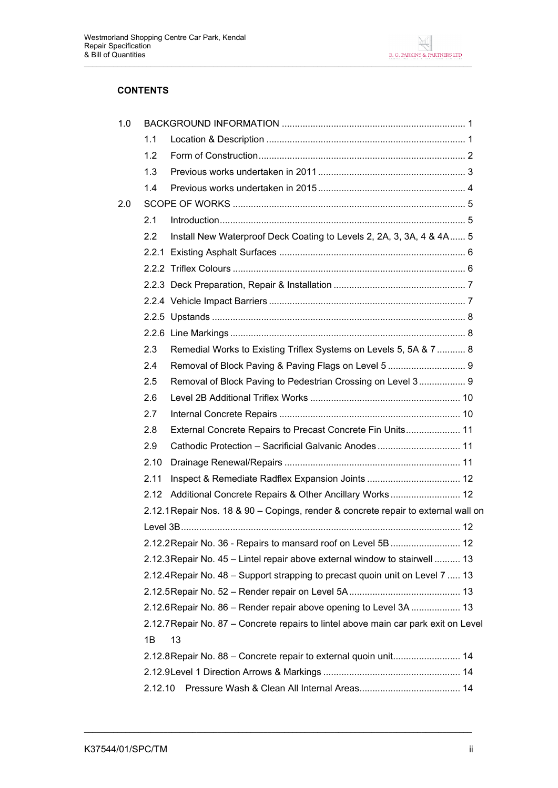

## **CONTENTS**

| 1.0 |         |                                                                                     |
|-----|---------|-------------------------------------------------------------------------------------|
|     | 1.1     |                                                                                     |
|     | 1.2     |                                                                                     |
|     | 1.3     |                                                                                     |
|     | 1.4     |                                                                                     |
| 2.0 |         |                                                                                     |
|     | 2.1     |                                                                                     |
|     | 2.2     | Install New Waterproof Deck Coating to Levels 2, 2A, 3, 3A, 4 & 4A 5                |
|     |         |                                                                                     |
|     |         |                                                                                     |
|     |         |                                                                                     |
|     |         |                                                                                     |
|     |         |                                                                                     |
|     |         |                                                                                     |
|     | 2.3     | Remedial Works to Existing Triflex Systems on Levels 5, 5A & 7  8                   |
|     | 2.4     |                                                                                     |
|     | 2.5     | Removal of Block Paving to Pedestrian Crossing on Level 3 9                         |
|     | 2.6     |                                                                                     |
|     | 2.7     |                                                                                     |
|     | 2.8     | External Concrete Repairs to Precast Concrete Fin Units 11                          |
|     | 2.9     | Cathodic Protection - Sacrificial Galvanic Anodes 11                                |
|     | 2.10    |                                                                                     |
|     | 2.11    |                                                                                     |
|     | 2.12    | Additional Concrete Repairs & Other Ancillary Works 12                              |
|     |         | 2.12.1 Repair Nos. 18 & 90 – Copings, render & concrete repair to external wall on  |
|     |         |                                                                                     |
|     |         | 2.12.2 Repair No. 36 - Repairs to mansard roof on Level 5B  12                      |
|     |         | 2.12.3 Repair No. 45 – Lintel repair above external window to stairwell  13         |
|     |         | 2.12.4 Repair No. 48 – Support strapping to precast quoin unit on Level 7  13       |
|     |         |                                                                                     |
|     |         | 2.12.6 Repair No. 86 - Render repair above opening to Level 3A  13                  |
|     |         | 2.12.7 Repair No. 87 – Concrete repairs to lintel above main car park exit on Level |
|     | 1B      | 13                                                                                  |
|     |         | 2.12.8 Repair No. 88 - Concrete repair to external quoin unit 14                    |
|     |         |                                                                                     |
|     | 2.12.10 |                                                                                     |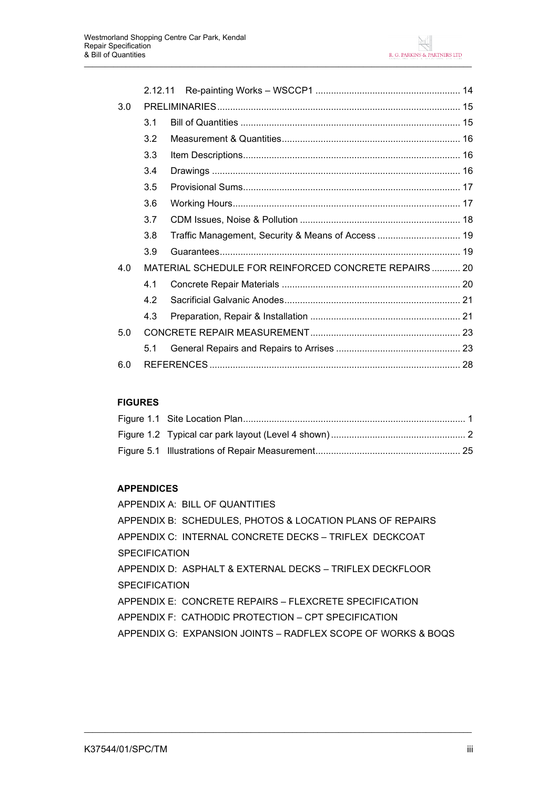|     | 2.12.11 |                                                       |
|-----|---------|-------------------------------------------------------|
| 3.0 |         |                                                       |
|     | 3.1     | Bill of Quantities ………………………………………………………………………… 15    |
|     | 3.2     |                                                       |
|     | 3.3     |                                                       |
|     | 3.4     |                                                       |
|     | 3.5     |                                                       |
|     | 3.6     |                                                       |
|     | 3.7     |                                                       |
|     | 3.8     |                                                       |
|     | 3.9     |                                                       |
| 4.0 |         | MATERIAL SCHEDULE FOR REINFORCED CONCRETE REPAIRS  20 |
|     | 4.1     |                                                       |
|     | 4.2     |                                                       |
|     | 4.3     |                                                       |
| 5.0 |         |                                                       |
|     | 5.1     |                                                       |
| 6.0 |         |                                                       |

## **FIGURES**

## **APPENDICES**

APPENDIX A: BILL OF QUANTITIES APPENDIX B: SCHEDULES, PHOTOS & LOCATION PLANS OF REPAIRS APPENDIX C: INTERNAL CONCRETE DECKS – TRIFLEX DECKCOAT **SPECIFICATION** APPENDIX D: ASPHALT & EXTERNAL DECKS – TRIFLEX DECKFLOOR **SPECIFICATION** APPENDIX E: CONCRETE REPAIRS – FLEXCRETE SPECIFICATION APPENDIX F: CATHODIC PROTECTION – CPT SPECIFICATION APPENDIX G: EXPANSION JOINTS – RADFLEX SCOPE OF WORKS & BOQS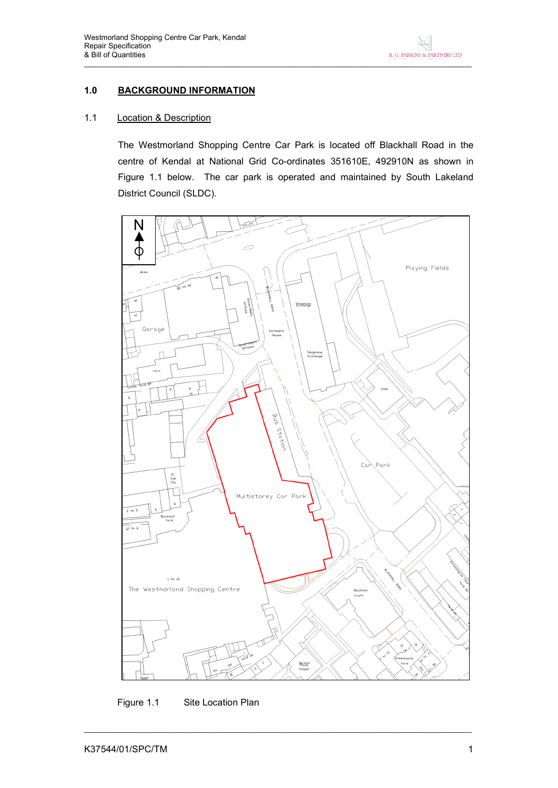## **1.0 BACKGROUND INFORMATION**

## 1.1 Location & Description

The Westmorland Shopping Centre Car Park is located off Blackhall Road in the centre of Kendal at National Grid Co-ordinates 351610E, 492910N as shown in Figure 1.1 below. The car park is operated and maintained by South Lakeland District Council (SLDC).



Figure 1.1 Site Location Plan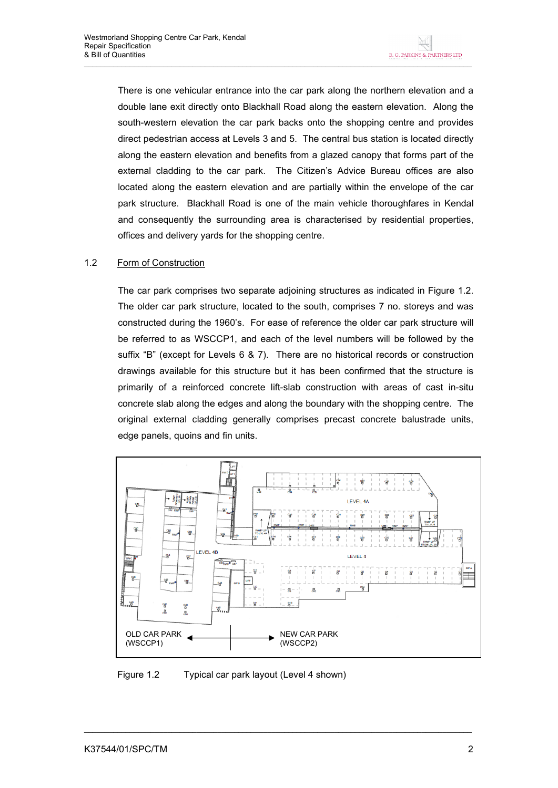There is one vehicular entrance into the car park along the northern elevation and a double lane exit directly onto Blackhall Road along the eastern elevation. Along the south-western elevation the car park backs onto the shopping centre and provides direct pedestrian access at Levels 3 and 5. The central bus station is located directly along the eastern elevation and benefits from a glazed canopy that forms part of the external cladding to the car park. The Citizen's Advice Bureau offices are also located along the eastern elevation and are partially within the envelope of the car park structure. Blackhall Road is one of the main vehicle thoroughfares in Kendal and consequently the surrounding area is characterised by residential properties, offices and delivery yards for the shopping centre.

## 1.2 Form of Construction

The car park comprises two separate adjoining structures as indicated in Figure 1.2. The older car park structure, located to the south, comprises 7 no. storeys and was constructed during the 1960's. For ease of reference the older car park structure will be referred to as WSCCP1, and each of the level numbers will be followed by the suffix "B" (except for Levels 6 & 7). There are no historical records or construction drawings available for this structure but it has been confirmed that the structure is primarily of a reinforced concrete lift-slab construction with areas of cast in-situ concrete slab along the edges and along the boundary with the shopping centre. The original external cladding generally comprises precast concrete balustrade units, edge panels, quoins and fin units.



Figure 1.2 Typical car park layout (Level 4 shown)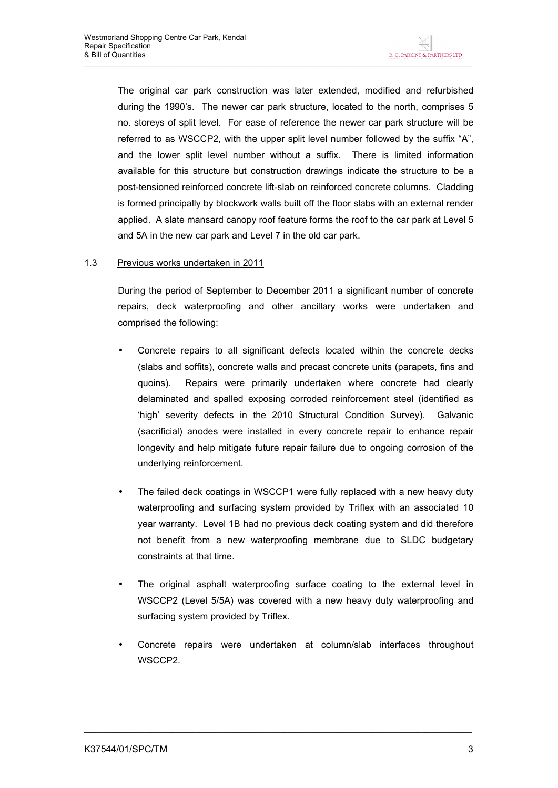The original car park construction was later extended, modified and refurbished during the 1990's. The newer car park structure, located to the north, comprises 5 no. storeys of split level. For ease of reference the newer car park structure will be referred to as WSCCP2, with the upper split level number followed by the suffix "A", and the lower split level number without a suffix. There is limited information available for this structure but construction drawings indicate the structure to be a post-tensioned reinforced concrete lift-slab on reinforced concrete columns. Cladding is formed principally by blockwork walls built off the floor slabs with an external render applied. A slate mansard canopy roof feature forms the roof to the car park at Level 5 and 5A in the new car park and Level 7 in the old car park.

#### 1.3 Previous works undertaken in 2011

During the period of September to December 2011 a significant number of concrete repairs, deck waterproofing and other ancillary works were undertaken and comprised the following:

- Concrete repairs to all significant defects located within the concrete decks (slabs and soffits), concrete walls and precast concrete units (parapets, fins and quoins). Repairs were primarily undertaken where concrete had clearly delaminated and spalled exposing corroded reinforcement steel (identified as 'high' severity defects in the 2010 Structural Condition Survey). Galvanic (sacrificial) anodes were installed in every concrete repair to enhance repair longevity and help mitigate future repair failure due to ongoing corrosion of the underlying reinforcement.
- The failed deck coatings in WSCCP1 were fully replaced with a new heavy duty waterproofing and surfacing system provided by Triflex with an associated 10 year warranty. Level 1B had no previous deck coating system and did therefore not benefit from a new waterproofing membrane due to SLDC budgetary constraints at that time.
- The original asphalt waterproofing surface coating to the external level in WSCCP2 (Level 5/5A) was covered with a new heavy duty waterproofing and surfacing system provided by Triflex.
- Concrete repairs were undertaken at column/slab interfaces throughout WSCCP2.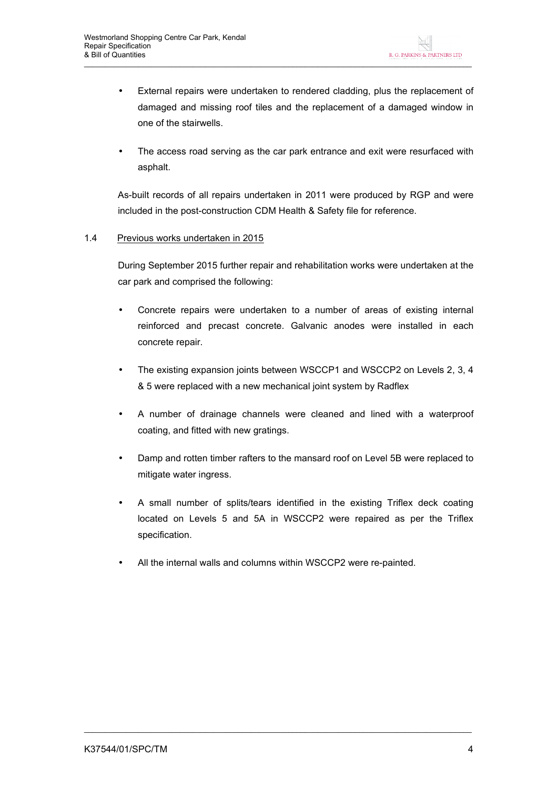- External repairs were undertaken to rendered cladding, plus the replacement of damaged and missing roof tiles and the replacement of a damaged window in one of the stairwells.
- The access road serving as the car park entrance and exit were resurfaced with asphalt.

As-built records of all repairs undertaken in 2011 were produced by RGP and were included in the post-construction CDM Health & Safety file for reference.

#### 1.4 Previous works undertaken in 2015

During September 2015 further repair and rehabilitation works were undertaken at the car park and comprised the following:

- Concrete repairs were undertaken to a number of areas of existing internal reinforced and precast concrete. Galvanic anodes were installed in each concrete repair.
- The existing expansion joints between WSCCP1 and WSCCP2 on Levels 2, 3, 4 & 5 were replaced with a new mechanical joint system by Radflex
- A number of drainage channels were cleaned and lined with a waterproof coating, and fitted with new gratings.
- Damp and rotten timber rafters to the mansard roof on Level 5B were replaced to mitigate water ingress.
- A small number of splits/tears identified in the existing Triflex deck coating located on Levels 5 and 5A in WSCCP2 were repaired as per the Triflex specification.
- All the internal walls and columns within WSCCP2 were re-painted.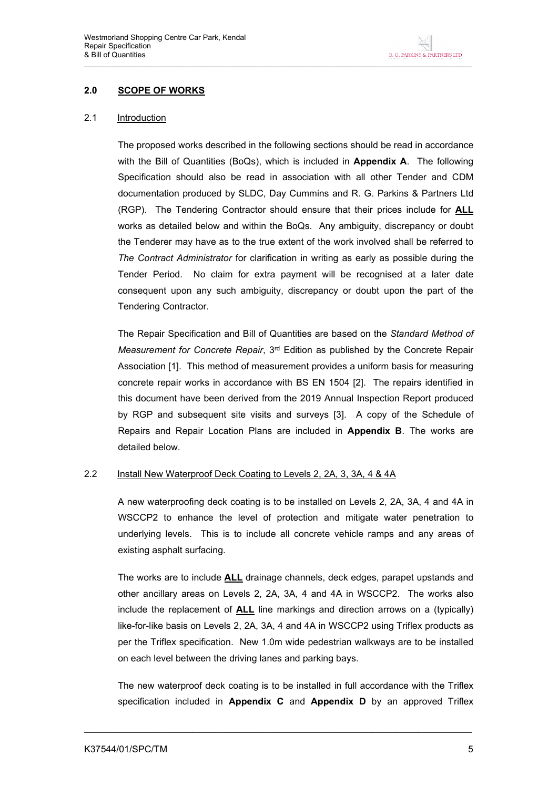## **2.0 SCOPE OF WORKS**

#### 2.1 Introduction

The proposed works described in the following sections should be read in accordance with the Bill of Quantities (BoQs), which is included in **Appendix A**. The following Specification should also be read in association with all other Tender and CDM documentation produced by SLDC, Day Cummins and R. G. Parkins & Partners Ltd (RGP). The Tendering Contractor should ensure that their prices include for **ALL** works as detailed below and within the BoQs. Any ambiguity, discrepancy or doubt the Tenderer may have as to the true extent of the work involved shall be referred to *The Contract Administrator* for clarification in writing as early as possible during the Tender Period. No claim for extra payment will be recognised at a later date consequent upon any such ambiguity, discrepancy or doubt upon the part of the Tendering Contractor.

The Repair Specification and Bill of Quantities are based on the *Standard Method of Measurement for Concrete Repair*, 3rd Edition as published by the Concrete Repair Association [1]. This method of measurement provides a uniform basis for measuring concrete repair works in accordance with BS EN 1504 [2]. The repairs identified in this document have been derived from the 2019 Annual Inspection Report produced by RGP and subsequent site visits and surveys [3]. A copy of the Schedule of Repairs and Repair Location Plans are included in **Appendix B**. The works are detailed below.

#### 2.2 Install New Waterproof Deck Coating to Levels 2, 2A, 3, 3A, 4 & 4A

A new waterproofing deck coating is to be installed on Levels 2, 2A, 3A, 4 and 4A in WSCCP2 to enhance the level of protection and mitigate water penetration to underlying levels. This is to include all concrete vehicle ramps and any areas of existing asphalt surfacing.

The works are to include **ALL** drainage channels, deck edges, parapet upstands and other ancillary areas on Levels 2, 2A, 3A, 4 and 4A in WSCCP2. The works also include the replacement of **ALL** line markings and direction arrows on a (typically) like-for-like basis on Levels 2, 2A, 3A, 4 and 4A in WSCCP2 using Triflex products as per the Triflex specification. New 1.0m wide pedestrian walkways are to be installed on each level between the driving lanes and parking bays.

The new waterproof deck coating is to be installed in full accordance with the Triflex specification included in **Appendix C** and **Appendix D** by an approved Triflex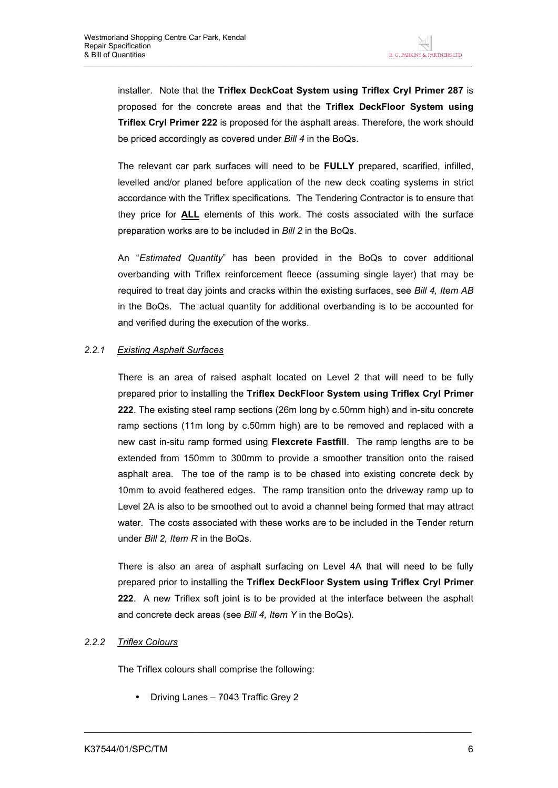installer. Note that the **Triflex DeckCoat System using Triflex Cryl Primer 287** is proposed for the concrete areas and that the **Triflex DeckFloor System using Triflex Cryl Primer 222** is proposed for the asphalt areas. Therefore, the work should be priced accordingly as covered under *Bill 4* in the BoQs.

The relevant car park surfaces will need to be **FULLY** prepared, scarified, infilled, levelled and/or planed before application of the new deck coating systems in strict accordance with the Triflex specifications. The Tendering Contractor is to ensure that they price for **ALL** elements of this work. The costs associated with the surface preparation works are to be included in *Bill 2* in the BoQs.

An "*Estimated Quantity*" has been provided in the BoQs to cover additional overbanding with Triflex reinforcement fleece (assuming single layer) that may be required to treat day joints and cracks within the existing surfaces, see *Bill 4, Item AB*  in the BoQs. The actual quantity for additional overbanding is to be accounted for and verified during the execution of the works.

## *2.2.1 Existing Asphalt Surfaces*

There is an area of raised asphalt located on Level 2 that will need to be fully prepared prior to installing the **Triflex DeckFloor System using Triflex Cryl Primer 222**. The existing steel ramp sections (26m long by c.50mm high) and in-situ concrete ramp sections (11m long by c.50mm high) are to be removed and replaced with a new cast in-situ ramp formed using **Flexcrete Fastfill**. The ramp lengths are to be extended from 150mm to 300mm to provide a smoother transition onto the raised asphalt area. The toe of the ramp is to be chased into existing concrete deck by 10mm to avoid feathered edges. The ramp transition onto the driveway ramp up to Level 2A is also to be smoothed out to avoid a channel being formed that may attract water. The costs associated with these works are to be included in the Tender return under *Bill 2, Item R* in the BoQs.

There is also an area of asphalt surfacing on Level 4A that will need to be fully prepared prior to installing the **Triflex DeckFloor System using Triflex Cryl Primer 222**. A new Triflex soft joint is to be provided at the interface between the asphalt and concrete deck areas (see *Bill 4, Item Y* in the BoQs).

 $\_$  ,  $\_$  ,  $\_$  ,  $\_$  ,  $\_$  ,  $\_$  ,  $\_$  ,  $\_$  ,  $\_$  ,  $\_$  ,  $\_$  ,  $\_$  ,  $\_$  ,  $\_$  ,  $\_$  ,  $\_$  ,  $\_$  ,  $\_$  ,  $\_$  ,  $\_$  ,  $\_$  ,  $\_$  ,  $\_$  ,  $\_$  ,  $\_$  ,  $\_$  ,  $\_$  ,  $\_$  ,  $\_$  ,  $\_$  ,  $\_$  ,  $\_$  ,  $\_$  ,  $\_$  ,  $\_$  ,  $\_$  ,  $\_$  ,

#### *2.2.2 Triflex Colours*

The Triflex colours shall comprise the following:

• Driving Lanes – 7043 Traffic Grey 2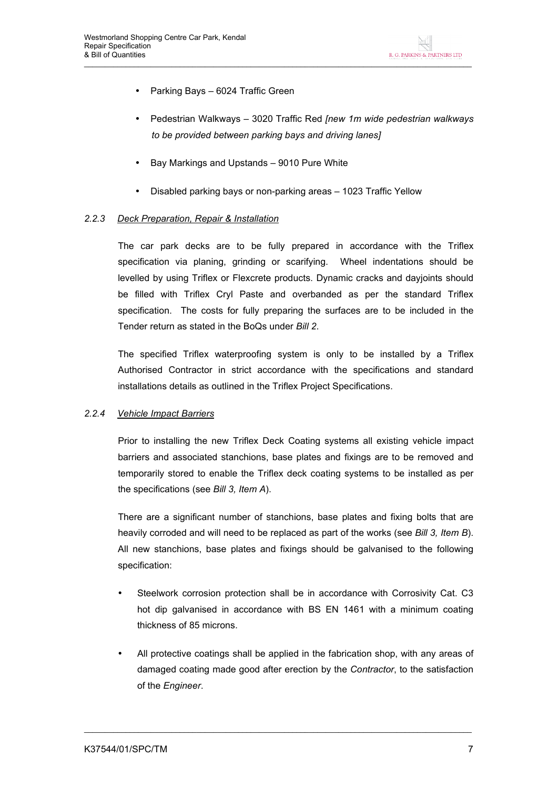- Parking Bays 6024 Traffic Green
- Pedestrian Walkways 3020 Traffic Red *[new 1m wide pedestrian walkways to be provided between parking bays and driving lanes]*
- Bay Markings and Upstands 9010 Pure White
- Disabled parking bays or non-parking areas 1023 Traffic Yellow

#### *2.2.3 Deck Preparation, Repair & Installation*

The car park decks are to be fully prepared in accordance with the Triflex specification via planing, grinding or scarifying. Wheel indentations should be levelled by using Triflex or Flexcrete products. Dynamic cracks and dayjoints should be filled with Triflex Cryl Paste and overbanded as per the standard Triflex specification. The costs for fully preparing the surfaces are to be included in the Tender return as stated in the BoQs under *Bill 2*.

The specified Triflex waterproofing system is only to be installed by a Triflex Authorised Contractor in strict accordance with the specifications and standard installations details as outlined in the Triflex Project Specifications.

#### *2.2.4 Vehicle Impact Barriers*

Prior to installing the new Triflex Deck Coating systems all existing vehicle impact barriers and associated stanchions, base plates and fixings are to be removed and temporarily stored to enable the Triflex deck coating systems to be installed as per the specifications (see *Bill 3, Item A*).

There are a significant number of stanchions, base plates and fixing bolts that are heavily corroded and will need to be replaced as part of the works (see *Bill 3, Item B*). All new stanchions, base plates and fixings should be galvanised to the following specification:

- Steelwork corrosion protection shall be in accordance with Corrosivity Cat. C3 hot dip galvanised in accordance with BS EN 1461 with a minimum coating thickness of 85 microns.
- All protective coatings shall be applied in the fabrication shop, with any areas of damaged coating made good after erection by the *Contractor*, to the satisfaction of the *Engineer*.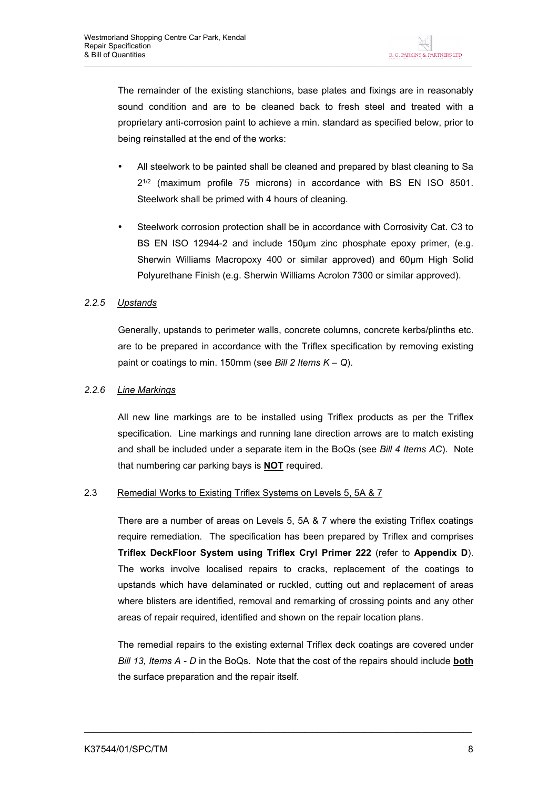The remainder of the existing stanchions, base plates and fixings are in reasonably sound condition and are to be cleaned back to fresh steel and treated with a proprietary anti-corrosion paint to achieve a min. standard as specified below, prior to being reinstalled at the end of the works:

- All steelwork to be painted shall be cleaned and prepared by blast cleaning to Sa 2 1/2 (maximum profile 75 microns) in accordance with BS EN ISO 8501. Steelwork shall be primed with 4 hours of cleaning.
- Steelwork corrosion protection shall be in accordance with Corrosivity Cat. C3 to BS EN ISO 12944-2 and include 150µm zinc phosphate epoxy primer, (e.g. Sherwin Williams Macropoxy 400 or similar approved) and 60µm High Solid Polyurethane Finish (e.g. Sherwin Williams Acrolon 7300 or similar approved).

## *2.2.5 Upstands*

Generally, upstands to perimeter walls, concrete columns, concrete kerbs/plinths etc. are to be prepared in accordance with the Triflex specification by removing existing paint or coatings to min. 150mm (see *Bill 2 Items K – Q*).

## *2.2.6 Line Markings*

All new line markings are to be installed using Triflex products as per the Triflex specification. Line markings and running lane direction arrows are to match existing and shall be included under a separate item in the BoQs (see *Bill 4 Items AC*). Note that numbering car parking bays is **NOT** required.

#### 2.3 Remedial Works to Existing Triflex Systems on Levels 5, 5A & 7

There are a number of areas on Levels 5, 5A & 7 where the existing Triflex coatings require remediation. The specification has been prepared by Triflex and comprises **Triflex DeckFloor System using Triflex Cryl Primer 222** (refer to **Appendix D**). The works involve localised repairs to cracks, replacement of the coatings to upstands which have delaminated or ruckled, cutting out and replacement of areas where blisters are identified, removal and remarking of crossing points and any other areas of repair required, identified and shown on the repair location plans.

The remedial repairs to the existing external Triflex deck coatings are covered under *Bill 13, Items A - D* in the BoQs. Note that the cost of the repairs should include **both** the surface preparation and the repair itself.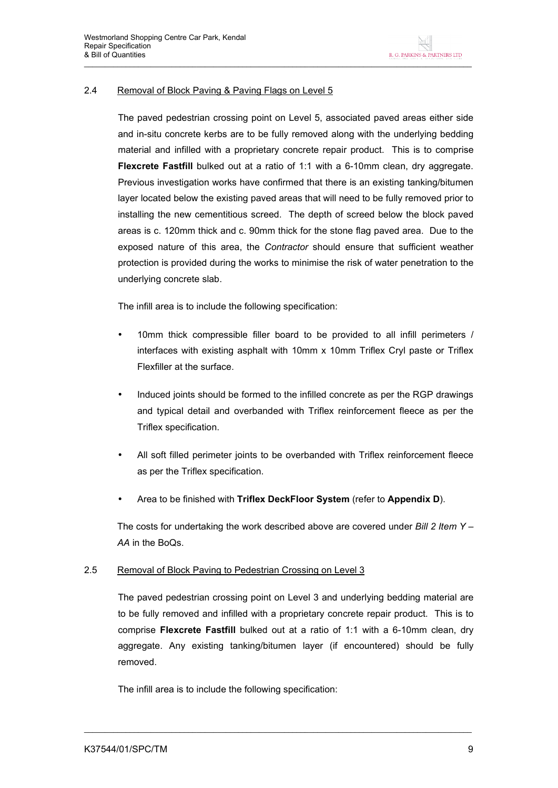## 2.4 Removal of Block Paving & Paving Flags on Level 5

The paved pedestrian crossing point on Level 5, associated paved areas either side and in-situ concrete kerbs are to be fully removed along with the underlying bedding material and infilled with a proprietary concrete repair product. This is to comprise **Flexcrete Fastfill** bulked out at a ratio of 1:1 with a 6-10mm clean, dry aggregate. Previous investigation works have confirmed that there is an existing tanking/bitumen layer located below the existing paved areas that will need to be fully removed prior to installing the new cementitious screed. The depth of screed below the block paved areas is c. 120mm thick and c. 90mm thick for the stone flag paved area. Due to the exposed nature of this area, the *Contractor* should ensure that sufficient weather protection is provided during the works to minimise the risk of water penetration to the underlying concrete slab.

The infill area is to include the following specification:

- 10mm thick compressible filler board to be provided to all infill perimeters / interfaces with existing asphalt with 10mm x 10mm Triflex Cryl paste or Triflex Flexfiller at the surface.
- Induced joints should be formed to the infilled concrete as per the RGP drawings and typical detail and overbanded with Triflex reinforcement fleece as per the Triflex specification.
- All soft filled perimeter joints to be overbanded with Triflex reinforcement fleece as per the Triflex specification.
- Area to be finished with **Triflex DeckFloor System** (refer to **Appendix D**).

The costs for undertaking the work described above are covered under *Bill 2 Item Y – AA* in the BoQs.

#### 2.5 Removal of Block Paving to Pedestrian Crossing on Level 3

The paved pedestrian crossing point on Level 3 and underlying bedding material are to be fully removed and infilled with a proprietary concrete repair product. This is to comprise **Flexcrete Fastfill** bulked out at a ratio of 1:1 with a 6-10mm clean, dry aggregate. Any existing tanking/bitumen layer (if encountered) should be fully removed.

 $\_$  ,  $\_$  ,  $\_$  ,  $\_$  ,  $\_$  ,  $\_$  ,  $\_$  ,  $\_$  ,  $\_$  ,  $\_$  ,  $\_$  ,  $\_$  ,  $\_$  ,  $\_$  ,  $\_$  ,  $\_$  ,  $\_$  ,  $\_$  ,  $\_$  ,  $\_$  ,  $\_$  ,  $\_$  ,  $\_$  ,  $\_$  ,  $\_$  ,  $\_$  ,  $\_$  ,  $\_$  ,  $\_$  ,  $\_$  ,  $\_$  ,  $\_$  ,  $\_$  ,  $\_$  ,  $\_$  ,  $\_$  ,  $\_$  ,

The infill area is to include the following specification: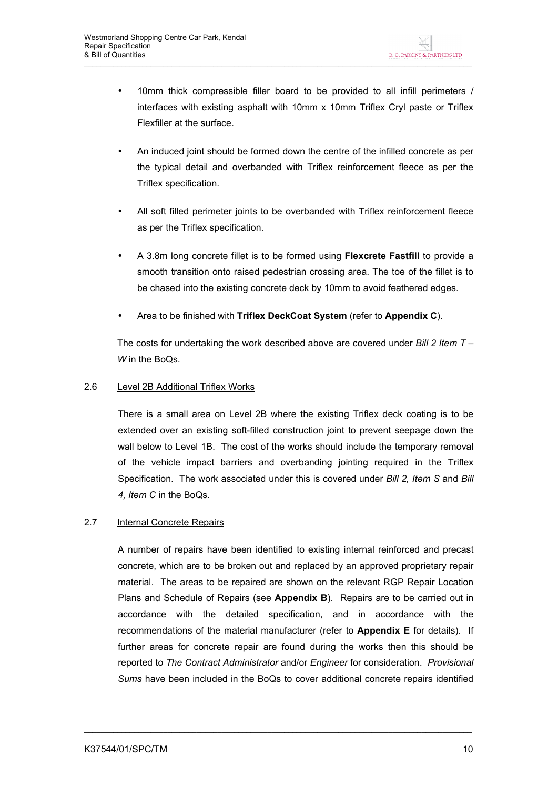- 10mm thick compressible filler board to be provided to all infill perimeters / interfaces with existing asphalt with 10mm x 10mm Triflex Cryl paste or Triflex Flexfiller at the surface.
- An induced joint should be formed down the centre of the infilled concrete as per the typical detail and overbanded with Triflex reinforcement fleece as per the Triflex specification.
- All soft filled perimeter joints to be overbanded with Triflex reinforcement fleece as per the Triflex specification.
- A 3.8m long concrete fillet is to be formed using **Flexcrete Fastfill** to provide a smooth transition onto raised pedestrian crossing area. The toe of the fillet is to be chased into the existing concrete deck by 10mm to avoid feathered edges.
- Area to be finished with **Triflex DeckCoat System** (refer to **Appendix C**).

The costs for undertaking the work described above are covered under *Bill 2 Item T – W* in the BoQs.

## 2.6 Level 2B Additional Triflex Works

There is a small area on Level 2B where the existing Triflex deck coating is to be extended over an existing soft-filled construction joint to prevent seepage down the wall below to Level 1B. The cost of the works should include the temporary removal of the vehicle impact barriers and overbanding jointing required in the Triflex Specification. The work associated under this is covered under *Bill 2, Item S* and *Bill 4, Item C* in the BoQs.

## 2.7 Internal Concrete Repairs

A number of repairs have been identified to existing internal reinforced and precast concrete, which are to be broken out and replaced by an approved proprietary repair material. The areas to be repaired are shown on the relevant RGP Repair Location Plans and Schedule of Repairs (see **Appendix B**). Repairs are to be carried out in accordance with the detailed specification, and in accordance with the recommendations of the material manufacturer (refer to **Appendix E** for details). If further areas for concrete repair are found during the works then this should be reported to *The Contract Administrator* and/or *Engineer* for consideration. *Provisional Sums* have been included in the BoQs to cover additional concrete repairs identified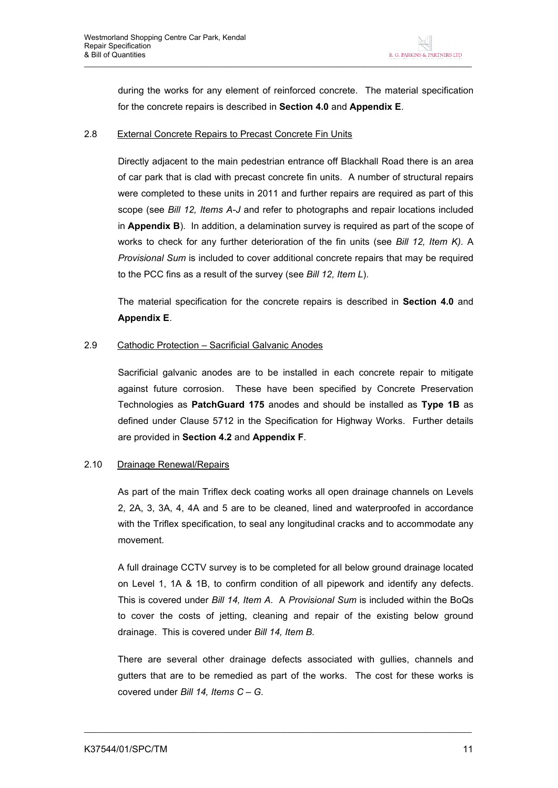during the works for any element of reinforced concrete. The material specification for the concrete repairs is described in **Section 4.0** and **Appendix E**.

#### 2.8 External Concrete Repairs to Precast Concrete Fin Units

Directly adjacent to the main pedestrian entrance off Blackhall Road there is an area of car park that is clad with precast concrete fin units. A number of structural repairs were completed to these units in 2011 and further repairs are required as part of this scope (see *Bill 12, Items A-J* and refer to photographs and repair locations included in **Appendix B**). In addition, a delamination survey is required as part of the scope of works to check for any further deterioration of the fin units (see *Bill 12, Item K).* A *Provisional Sum* is included to cover additional concrete repairs that may be required to the PCC fins as a result of the survey (see *Bill 12, Item L*).

The material specification for the concrete repairs is described in **Section 4.0** and **Appendix E**.

#### 2.9 Cathodic Protection – Sacrificial Galvanic Anodes

Sacrificial galvanic anodes are to be installed in each concrete repair to mitigate against future corrosion. These have been specified by Concrete Preservation Technologies as **PatchGuard 175** anodes and should be installed as **Type 1B** as defined under Clause 5712 in the Specification for Highway Works. Further details are provided in **Section 4.2** and **Appendix F**.

#### 2.10 Drainage Renewal/Repairs

As part of the main Triflex deck coating works all open drainage channels on Levels 2, 2A, 3, 3A, 4, 4A and 5 are to be cleaned, lined and waterproofed in accordance with the Triflex specification, to seal any longitudinal cracks and to accommodate any movement.

A full drainage CCTV survey is to be completed for all below ground drainage located on Level 1, 1A & 1B, to confirm condition of all pipework and identify any defects. This is covered under *Bill 14, Item A.* A *Provisional Sum* is included within the BoQs to cover the costs of jetting, cleaning and repair of the existing below ground drainage. This is covered under *Bill 14, Item B.* 

There are several other drainage defects associated with gullies, channels and gutters that are to be remedied as part of the works. The cost for these works is covered under *Bill 14, Items C – G.*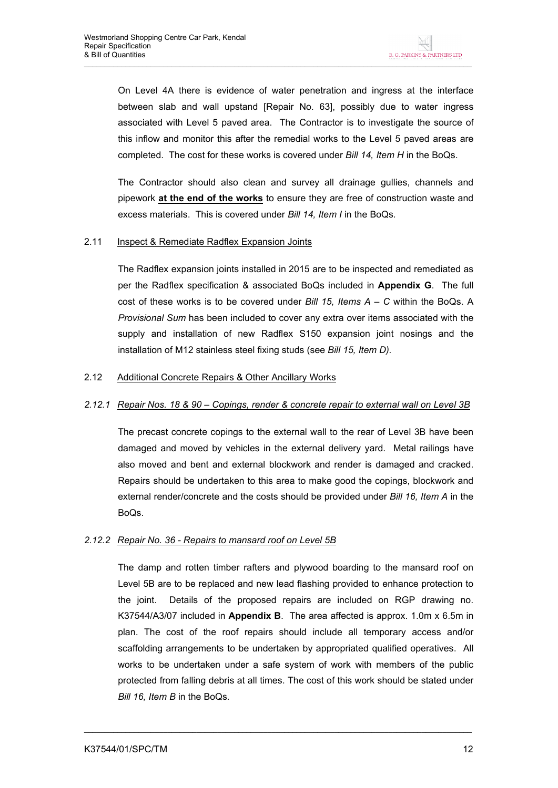On Level 4A there is evidence of water penetration and ingress at the interface between slab and wall upstand [Repair No. 63], possibly due to water ingress associated with Level 5 paved area. The Contractor is to investigate the source of this inflow and monitor this after the remedial works to the Level 5 paved areas are completed. The cost for these works is covered under *Bill 14, Item H* in the BoQs.

The Contractor should also clean and survey all drainage gullies, channels and pipework **at the end of the works** to ensure they are free of construction waste and excess materials. This is covered under *Bill 14, Item I* in the BoQs*.* 

#### 2.11 Inspect & Remediate Radflex Expansion Joints

The Radflex expansion joints installed in 2015 are to be inspected and remediated as per the Radflex specification & associated BoQs included in **Appendix G**. The full cost of these works is to be covered under *Bill 15, Items A – C* within the BoQs. A *Provisional Sum* has been included to cover any extra over items associated with the supply and installation of new Radflex S150 expansion joint nosings and the installation of M12 stainless steel fixing studs (see *Bill 15, Item D).*

#### 2.12 Additional Concrete Repairs & Other Ancillary Works

#### *2.12.1 Repair Nos. 18 & 90 – Copings, render & concrete repair to external wall on Level 3B*

The precast concrete copings to the external wall to the rear of Level 3B have been damaged and moved by vehicles in the external delivery yard. Metal railings have also moved and bent and external blockwork and render is damaged and cracked. Repairs should be undertaken to this area to make good the copings, blockwork and external render/concrete and the costs should be provided under *Bill 16, Item A* in the BoQs.

#### *2.12.2 Repair No. 36 - Repairs to mansard roof on Level 5B*

The damp and rotten timber rafters and plywood boarding to the mansard roof on Level 5B are to be replaced and new lead flashing provided to enhance protection to the joint. Details of the proposed repairs are included on RGP drawing no. K37544/A3/07 included in **Appendix B**. The area affected is approx. 1.0m x 6.5m in plan. The cost of the roof repairs should include all temporary access and/or scaffolding arrangements to be undertaken by appropriated qualified operatives. All works to be undertaken under a safe system of work with members of the public protected from falling debris at all times. The cost of this work should be stated under *Bill 16, Item B* in the BoQs*.*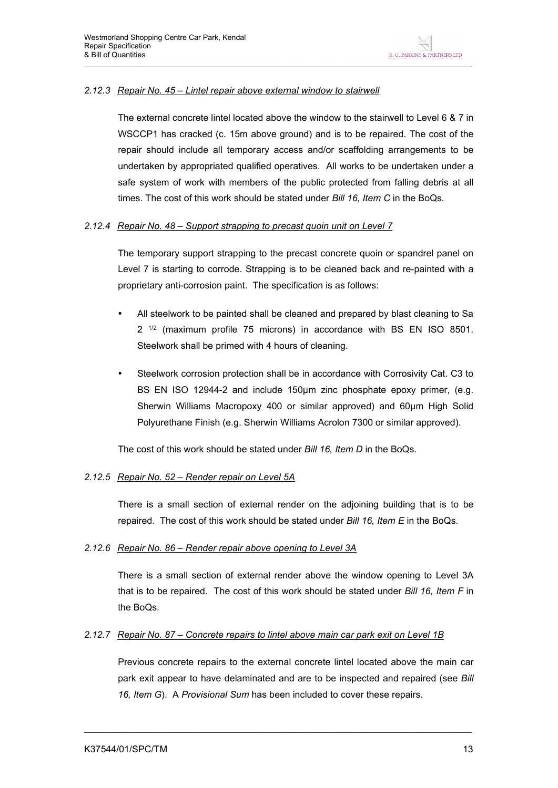## *2.12.3 Repair No. 45 – Lintel repair above external window to stairwell*

The external concrete lintel located above the window to the stairwell to Level 6 & 7 in WSCCP1 has cracked (c. 15m above ground) and is to be repaired. The cost of the repair should include all temporary access and/or scaffolding arrangements to be undertaken by appropriated qualified operatives. All works to be undertaken under a safe system of work with members of the public protected from falling debris at all times. The cost of this work should be stated under *Bill 16, Item C* in the BoQs*.* 

## *2.12.4 Repair No. 48 – Support strapping to precast quoin unit on Level 7*

The temporary support strapping to the precast concrete quoin or spandrel panel on Level 7 is starting to corrode. Strapping is to be cleaned back and re-painted with a proprietary anti-corrosion paint. The specification is as follows:

- All steelwork to be painted shall be cleaned and prepared by blast cleaning to Sa 2<sup>1/2</sup> (maximum profile 75 microns) in accordance with BS EN ISO 8501. Steelwork shall be primed with 4 hours of cleaning.
- Steelwork corrosion protection shall be in accordance with Corrosivity Cat. C3 to BS EN ISO 12944-2 and include 150um zinc phosphate epoxy primer, (e.g. Sherwin Williams Macropoxy 400 or similar approved) and 60µm High Solid Polyurethane Finish (e.g. Sherwin Williams Acrolon 7300 or similar approved).

The cost of this work should be stated under *Bill 16, Item D* in the BoQs*.* 

#### *2.12.5 Repair No. 52 – Render repair on Level 5A*

There is a small section of external render on the adjoining building that is to be repaired. The cost of this work should be stated under *Bill 16, Item E* in the BoQs*.* 

#### *2.12.6 Repair No. 86 – Render repair above opening to Level 3A*

There is a small section of external render above the window opening to Level 3A that is to be repaired. The cost of this work should be stated under *Bill 16, Item F* in the BoQs*.* 

#### *2.12.7 Repair No. 87 – Concrete repairs to lintel above main car park exit on Level 1B*

Previous concrete repairs to the external concrete lintel located above the main car park exit appear to have delaminated and are to be inspected and repaired (see *Bill 16, Item G*). A *Provisional Sum* has been included to cover these repairs.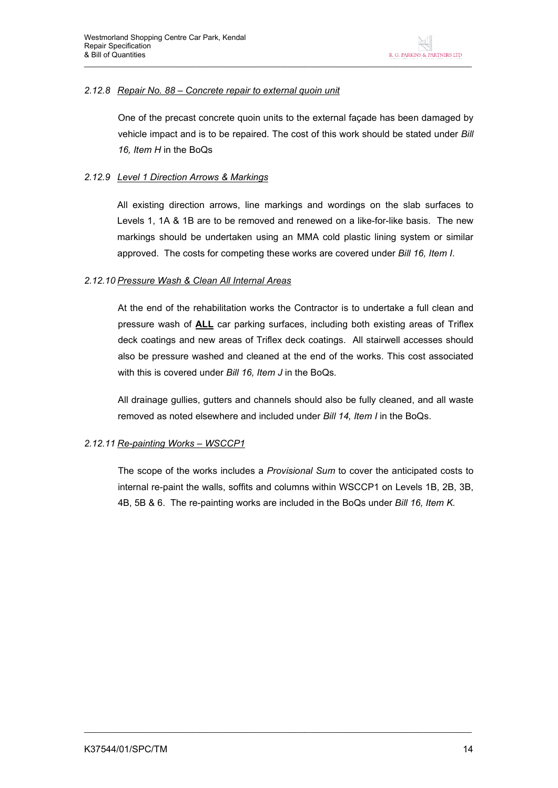## *2.12.8 Repair No. 88 – Concrete repair to external quoin unit*

One of the precast concrete quoin units to the external façade has been damaged by vehicle impact and is to be repaired*.* The cost of this work should be stated under *Bill 16, Item H* in the BoQs

## *2.12.9 Level 1 Direction Arrows & Markings*

All existing direction arrows, line markings and wordings on the slab surfaces to Levels 1, 1A & 1B are to be removed and renewed on a like-for-like basis. The new markings should be undertaken using an MMA cold plastic lining system or similar approved. The costs for competing these works are covered under *Bill 16, Item I*.

#### *2.12.10 Pressure Wash & Clean All Internal Areas*

At the end of the rehabilitation works the Contractor is to undertake a full clean and pressure wash of **ALL** car parking surfaces, including both existing areas of Triflex deck coatings and new areas of Triflex deck coatings. All stairwell accesses should also be pressure washed and cleaned at the end of the works. This cost associated with this is covered under *Bill 16, Item J* in the BoQs*.* 

All drainage gullies, gutters and channels should also be fully cleaned, and all waste removed as noted elsewhere and included under *Bill 14, Item I* in the BoQs.

## *2.12.11 Re-painting Works – WSCCP1*

The scope of the works includes a *Provisional Sum* to cover the anticipated costs to internal re-paint the walls, soffits and columns within WSCCP1 on Levels 1B, 2B, 3B, 4B, 5B & 6. The re-painting works are included in the BoQs under *Bill 16, Item K.*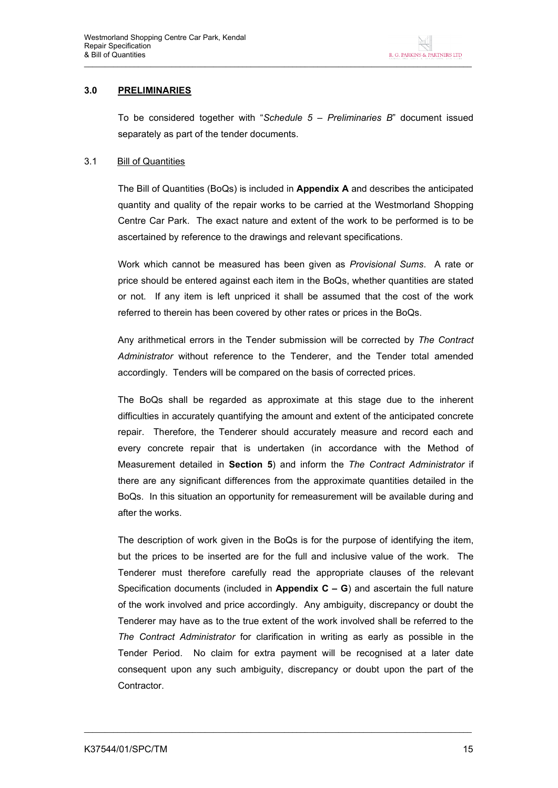#### **3.0 PRELIMINARIES**

To be considered together with "*Schedule 5 – Preliminaries B*" document issued separately as part of the tender documents.

## 3.1 Bill of Quantities

The Bill of Quantities (BoQs) is included in **Appendix A** and describes the anticipated quantity and quality of the repair works to be carried at the Westmorland Shopping Centre Car Park. The exact nature and extent of the work to be performed is to be ascertained by reference to the drawings and relevant specifications.

Work which cannot be measured has been given as *Provisional Sums*. A rate or price should be entered against each item in the BoQs, whether quantities are stated or not. If any item is left unpriced it shall be assumed that the cost of the work referred to therein has been covered by other rates or prices in the BoQs.

Any arithmetical errors in the Tender submission will be corrected by *The Contract Administrator* without reference to the Tenderer, and the Tender total amended accordingly. Tenders will be compared on the basis of corrected prices.

The BoQs shall be regarded as approximate at this stage due to the inherent difficulties in accurately quantifying the amount and extent of the anticipated concrete repair. Therefore, the Tenderer should accurately measure and record each and every concrete repair that is undertaken (in accordance with the Method of Measurement detailed in **Section 5**) and inform the *The Contract Administrator* if there are any significant differences from the approximate quantities detailed in the BoQs. In this situation an opportunity for remeasurement will be available during and after the works.

The description of work given in the BoQs is for the purpose of identifying the item, but the prices to be inserted are for the full and inclusive value of the work. The Tenderer must therefore carefully read the appropriate clauses of the relevant Specification documents (included in **Appendix C – G**) and ascertain the full nature of the work involved and price accordingly. Any ambiguity, discrepancy or doubt the Tenderer may have as to the true extent of the work involved shall be referred to the *The Contract Administrator* for clarification in writing as early as possible in the Tender Period. No claim for extra payment will be recognised at a later date consequent upon any such ambiguity, discrepancy or doubt upon the part of the Contractor.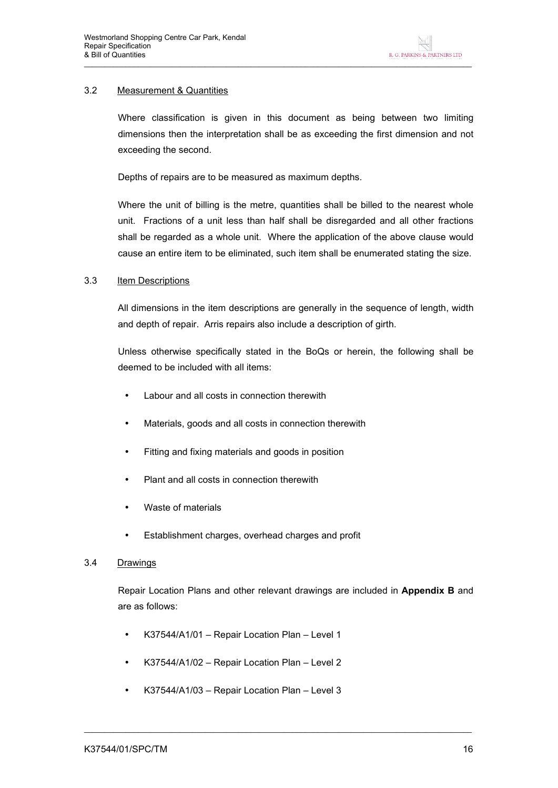## 3.2 Measurement & Quantities

Where classification is given in this document as being between two limiting dimensions then the interpretation shall be as exceeding the first dimension and not exceeding the second.

Depths of repairs are to be measured as maximum depths.

Where the unit of billing is the metre, quantities shall be billed to the nearest whole unit. Fractions of a unit less than half shall be disregarded and all other fractions shall be regarded as a whole unit. Where the application of the above clause would cause an entire item to be eliminated, such item shall be enumerated stating the size.

#### 3.3 Item Descriptions

All dimensions in the item descriptions are generally in the sequence of length, width and depth of repair. Arris repairs also include a description of girth.

Unless otherwise specifically stated in the BoQs or herein, the following shall be deemed to be included with all items:

- Labour and all costs in connection therewith
- Materials, goods and all costs in connection therewith
- Fitting and fixing materials and goods in position
- Plant and all costs in connection therewith
- Waste of materials
- Establishment charges, overhead charges and profit

#### 3.4 Drawings

Repair Location Plans and other relevant drawings are included in **Appendix B** and are as follows:

- K37544/A1/01 Repair Location Plan Level 1
- K37544/A1/02 Repair Location Plan Level 2
- K37544/A1/03 Repair Location Plan Level 3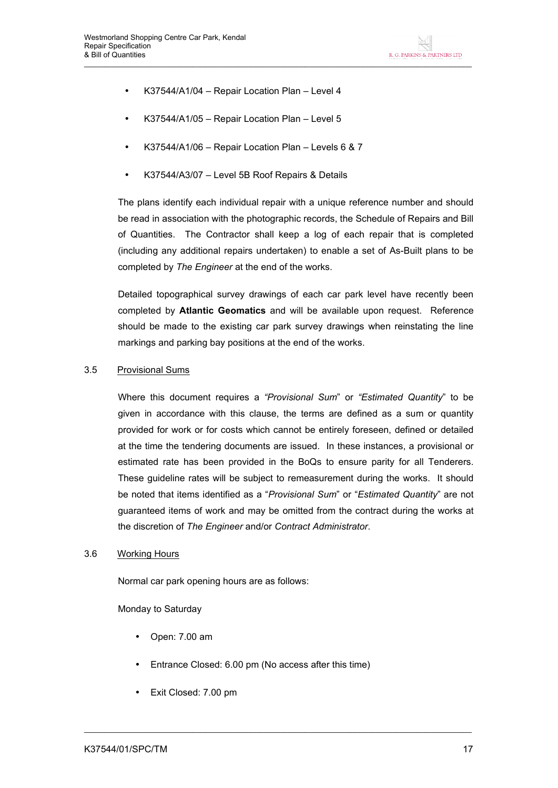- K37544/A1/04 Repair Location Plan Level 4
- K37544/A1/05 Repair Location Plan Level 5
- K37544/A1/06 Repair Location Plan Levels 6 & 7
- K37544/A3/07 Level 5B Roof Repairs & Details

The plans identify each individual repair with a unique reference number and should be read in association with the photographic records, the Schedule of Repairs and Bill of Quantities. The Contractor shall keep a log of each repair that is completed (including any additional repairs undertaken) to enable a set of As-Built plans to be completed by *The Engineer* at the end of the works.

Detailed topographical survey drawings of each car park level have recently been completed by **Atlantic Geomatics** and will be available upon request. Reference should be made to the existing car park survey drawings when reinstating the line markings and parking bay positions at the end of the works.

#### 3.5 Provisional Sums

Where this document requires a *"Provisional Sum*" or *"Estimated Quantity*" to be given in accordance with this clause, the terms are defined as a sum or quantity provided for work or for costs which cannot be entirely foreseen, defined or detailed at the time the tendering documents are issued. In these instances, a provisional or estimated rate has been provided in the BoQs to ensure parity for all Tenderers. These guideline rates will be subject to remeasurement during the works. It should be noted that items identified as a "*Provisional Sum*" or "*Estimated Quantity*" are not guaranteed items of work and may be omitted from the contract during the works at the discretion of *The Engineer* and/or *Contract Administrator*.

#### 3.6 Working Hours

Normal car park opening hours are as follows:

Monday to Saturday

- Open: 7.00 am
- Entrance Closed: 6.00 pm (No access after this time)

 $\_$  ,  $\_$  ,  $\_$  ,  $\_$  ,  $\_$  ,  $\_$  ,  $\_$  ,  $\_$  ,  $\_$  ,  $\_$  ,  $\_$  ,  $\_$  ,  $\_$  ,  $\_$  ,  $\_$  ,  $\_$  ,  $\_$  ,  $\_$  ,  $\_$  ,  $\_$  ,  $\_$  ,  $\_$  ,  $\_$  ,  $\_$  ,  $\_$  ,  $\_$  ,  $\_$  ,  $\_$  ,  $\_$  ,  $\_$  ,  $\_$  ,  $\_$  ,  $\_$  ,  $\_$  ,  $\_$  ,  $\_$  ,  $\_$  ,

• Exit Closed: 7.00 pm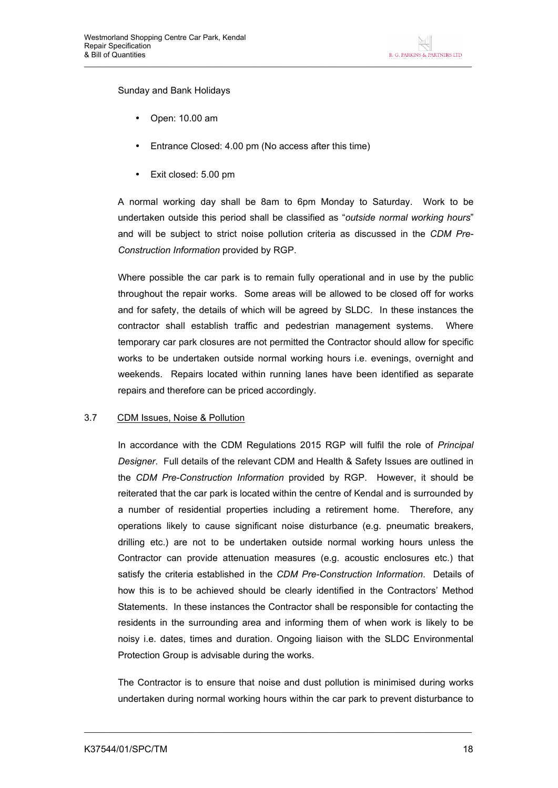Sunday and Bank Holidays

- Open: 10.00 am
- Entrance Closed: 4.00 pm (No access after this time)
- Exit closed: 5.00 pm

A normal working day shall be 8am to 6pm Monday to Saturday. Work to be undertaken outside this period shall be classified as "*outside normal working hours*" and will be subject to strict noise pollution criteria as discussed in the *CDM Pre-Construction Information* provided by RGP.

Where possible the car park is to remain fully operational and in use by the public throughout the repair works. Some areas will be allowed to be closed off for works and for safety, the details of which will be agreed by SLDC. In these instances the contractor shall establish traffic and pedestrian management systems. Where temporary car park closures are not permitted the Contractor should allow for specific works to be undertaken outside normal working hours i.e. evenings, overnight and weekends. Repairs located within running lanes have been identified as separate repairs and therefore can be priced accordingly.

#### 3.7 CDM Issues, Noise & Pollution

In accordance with the CDM Regulations 2015 RGP will fulfil the role of *Principal Designer*. Full details of the relevant CDM and Health & Safety Issues are outlined in the *CDM Pre-Construction Information* provided by RGP. However, it should be reiterated that the car park is located within the centre of Kendal and is surrounded by a number of residential properties including a retirement home. Therefore, any operations likely to cause significant noise disturbance (e.g. pneumatic breakers, drilling etc.) are not to be undertaken outside normal working hours unless the Contractor can provide attenuation measures (e.g. acoustic enclosures etc.) that satisfy the criteria established in the *CDM Pre-Construction Information*. Details of how this is to be achieved should be clearly identified in the Contractors' Method Statements. In these instances the Contractor shall be responsible for contacting the residents in the surrounding area and informing them of when work is likely to be noisy i.e. dates, times and duration. Ongoing liaison with the SLDC Environmental Protection Group is advisable during the works.

The Contractor is to ensure that noise and dust pollution is minimised during works undertaken during normal working hours within the car park to prevent disturbance to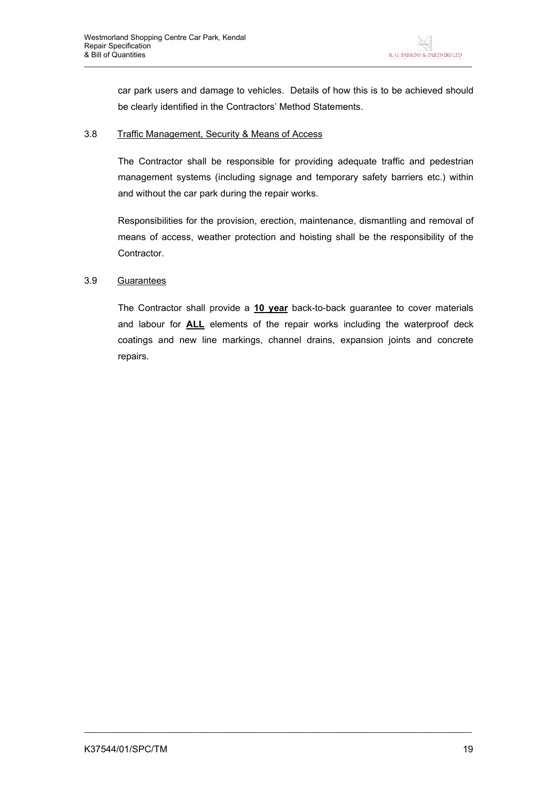car park users and damage to vehicles. Details of how this is to be achieved should be clearly identified in the Contractors' Method Statements.

#### 3.8 Traffic Management, Security & Means of Access

The Contractor shall be responsible for providing adequate traffic and pedestrian management systems (including signage and temporary safety barriers etc.) within and without the car park during the repair works.

Responsibilities for the provision, erection, maintenance, dismantling and removal of means of access, weather protection and hoisting shall be the responsibility of the Contractor.

#### 3.9 Guarantees

The Contractor shall provide a **10 year** back-to-back guarantee to cover materials and labour for **ALL** elements of the repair works including the waterproof deck coatings and new line markings, channel drains, expansion joints and concrete repairs.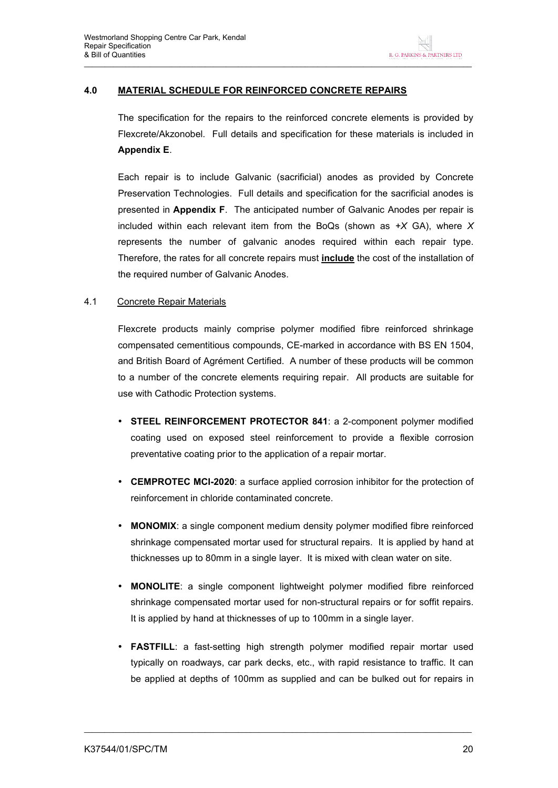## **4.0 MATERIAL SCHEDULE FOR REINFORCED CONCRETE REPAIRS**

The specification for the repairs to the reinforced concrete elements is provided by Flexcrete/Akzonobel. Full details and specification for these materials is included in **Appendix E**.

Each repair is to include Galvanic (sacrificial) anodes as provided by Concrete Preservation Technologies. Full details and specification for the sacrificial anodes is presented in **Appendix F**. The anticipated number of Galvanic Anodes per repair is included within each relevant item from the BoQs (shown as *+X* GA), where *X* represents the number of galvanic anodes required within each repair type. Therefore, the rates for all concrete repairs must **include** the cost of the installation of the required number of Galvanic Anodes.

#### 4.1 Concrete Repair Materials

Flexcrete products mainly comprise polymer modified fibre reinforced shrinkage compensated cementitious compounds, CE-marked in accordance with BS EN 1504, and British Board of Agrément Certified. A number of these products will be common to a number of the concrete elements requiring repair. All products are suitable for use with Cathodic Protection systems.

- **STEEL REINFORCEMENT PROTECTOR 841**: a 2-component polymer modified coating used on exposed steel reinforcement to provide a flexible corrosion preventative coating prior to the application of a repair mortar.
- **CEMPROTEC MCI-2020**: a surface applied corrosion inhibitor for the protection of reinforcement in chloride contaminated concrete.
- **MONOMIX**: a single component medium density polymer modified fibre reinforced shrinkage compensated mortar used for structural repairs. It is applied by hand at thicknesses up to 80mm in a single layer. It is mixed with clean water on site.
- **MONOLITE**: a single component lightweight polymer modified fibre reinforced shrinkage compensated mortar used for non-structural repairs or for soffit repairs. It is applied by hand at thicknesses of up to 100mm in a single layer.
- **FASTFILL**: a fast-setting high strength polymer modified repair mortar used typically on roadways, car park decks, etc., with rapid resistance to traffic. It can be applied at depths of 100mm as supplied and can be bulked out for repairs in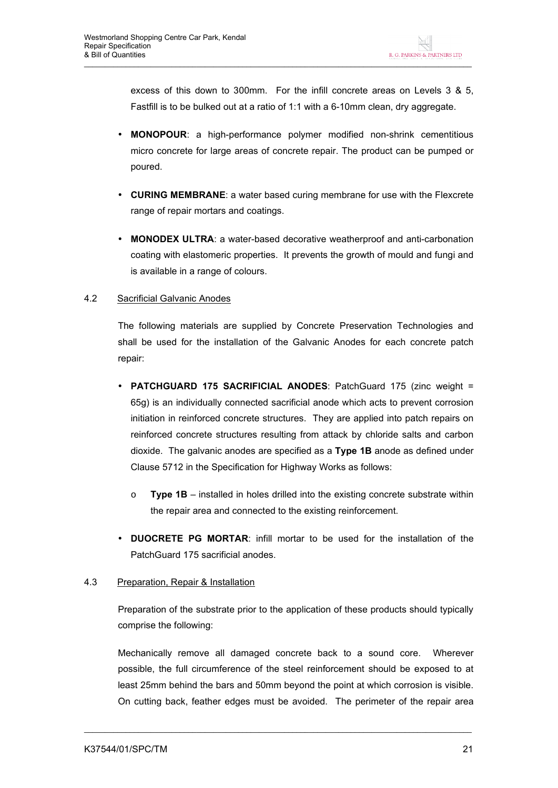excess of this down to 300mm. For the infill concrete areas on Levels 3 & 5, Fastfill is to be bulked out at a ratio of 1:1 with a 6-10mm clean, dry aggregate.

- **MONOPOUR**: a high-performance polymer modified non-shrink cementitious micro concrete for large areas of concrete repair. The product can be pumped or poured.
- **CURING MEMBRANE**: a water based curing membrane for use with the Flexcrete range of repair mortars and coatings.
- **MONODEX ULTRA**: a water-based decorative weatherproof and anti-carbonation coating with elastomeric properties. It prevents the growth of mould and fungi and is available in a range of colours.

#### 4.2 Sacrificial Galvanic Anodes

The following materials are supplied by Concrete Preservation Technologies and shall be used for the installation of the Galvanic Anodes for each concrete patch repair:

- **PATCHGUARD 175 SACRIFICIAL ANODES**: PatchGuard 175 (zinc weight = 65g) is an individually connected sacrificial anode which acts to prevent corrosion initiation in reinforced concrete structures. They are applied into patch repairs on reinforced concrete structures resulting from attack by chloride salts and carbon dioxide. The galvanic anodes are specified as a **Type 1B** anode as defined under Clause 5712 in the Specification for Highway Works as follows:
	- o **Type 1B**  installed in holes drilled into the existing concrete substrate within the repair area and connected to the existing reinforcement.
- **DUOCRETE PG MORTAR**: infill mortar to be used for the installation of the PatchGuard 175 sacrificial anodes.

#### 4.3 Preparation, Repair & Installation

Preparation of the substrate prior to the application of these products should typically comprise the following:

Mechanically remove all damaged concrete back to a sound core. Wherever possible, the full circumference of the steel reinforcement should be exposed to at least 25mm behind the bars and 50mm beyond the point at which corrosion is visible. On cutting back, feather edges must be avoided. The perimeter of the repair area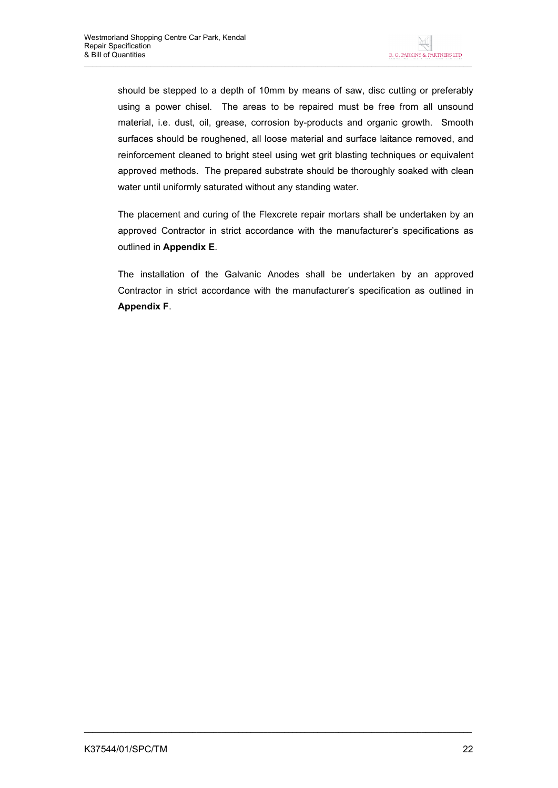should be stepped to a depth of 10mm by means of saw, disc cutting or preferably using a power chisel. The areas to be repaired must be free from all unsound material, i.e. dust, oil, grease, corrosion by-products and organic growth. Smooth surfaces should be roughened, all loose material and surface laitance removed, and reinforcement cleaned to bright steel using wet grit blasting techniques or equivalent approved methods. The prepared substrate should be thoroughly soaked with clean water until uniformly saturated without any standing water.

The placement and curing of the Flexcrete repair mortars shall be undertaken by an approved Contractor in strict accordance with the manufacturer's specifications as outlined in **Appendix E**.

The installation of the Galvanic Anodes shall be undertaken by an approved Contractor in strict accordance with the manufacturer's specification as outlined in **Appendix F**.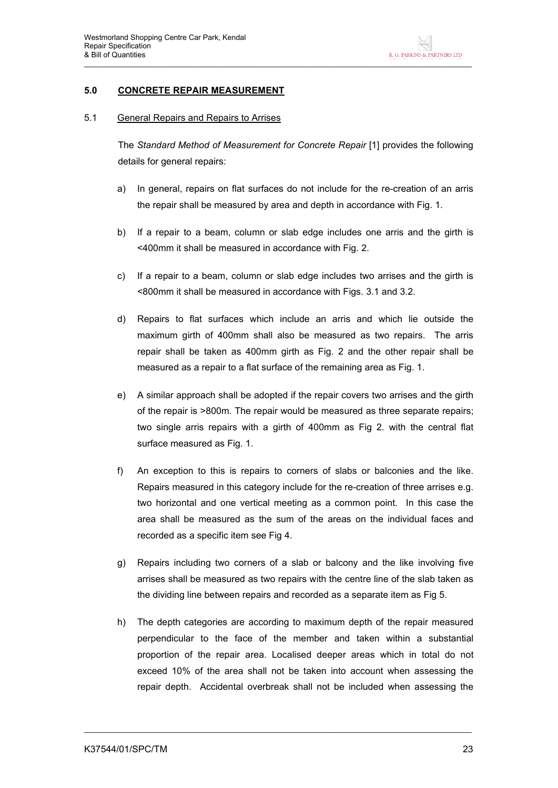#### **5.0 CONCRETE REPAIR MEASUREMENT**

#### 5.1 General Repairs and Repairs to Arrises

The *Standard Method of Measurement for Concrete Repair* [1] provides the following details for general repairs:

- a) In general, repairs on flat surfaces do not include for the re-creation of an arris the repair shall be measured by area and depth in accordance with Fig. 1.
- b) If a repair to a beam, column or slab edge includes one arris and the girth is <400mm it shall be measured in accordance with Fig. 2.
- c) If a repair to a beam, column or slab edge includes two arrises and the girth is <800mm it shall be measured in accordance with Figs. 3.1 and 3.2.
- d) Repairs to flat surfaces which include an arris and which lie outside the maximum girth of 400mm shall also be measured as two repairs. The arris repair shall be taken as 400mm girth as Fig. 2 and the other repair shall be measured as a repair to a flat surface of the remaining area as Fig. 1.
- e) A similar approach shall be adopted if the repair covers two arrises and the girth of the repair is >800m. The repair would be measured as three separate repairs; two single arris repairs with a girth of 400mm as Fig 2. with the central flat surface measured as Fig. 1.
- f) An exception to this is repairs to corners of slabs or balconies and the like. Repairs measured in this category include for the re-creation of three arrises e.g. two horizontal and one vertical meeting as a common point. In this case the area shall be measured as the sum of the areas on the individual faces and recorded as a specific item see Fig 4.
- g) Repairs including two corners of a slab or balcony and the like involving five arrises shall be measured as two repairs with the centre line of the slab taken as the dividing line between repairs and recorded as a separate item as Fig 5.
- h) The depth categories are according to maximum depth of the repair measured perpendicular to the face of the member and taken within a substantial proportion of the repair area. Localised deeper areas which in total do not exceed 10% of the area shall not be taken into account when assessing the repair depth. Accidental overbreak shall not be included when assessing the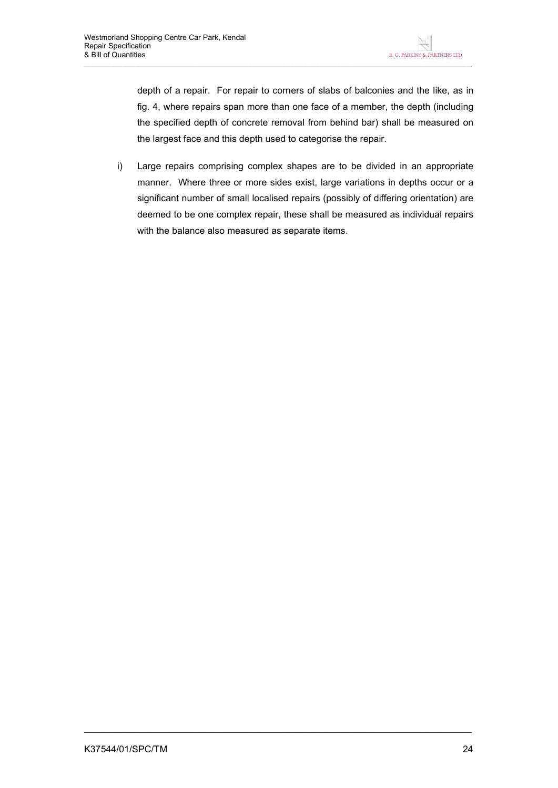depth of a repair. For repair to corners of slabs of balconies and the like, as in fig. 4, where repairs span more than one face of a member, the depth (including the specified depth of concrete removal from behind bar) shall be measured on the largest face and this depth used to categorise the repair.

i) Large repairs comprising complex shapes are to be divided in an appropriate manner. Where three or more sides exist, large variations in depths occur or a significant number of small localised repairs (possibly of differing orientation) are deemed to be one complex repair, these shall be measured as individual repairs with the balance also measured as separate items.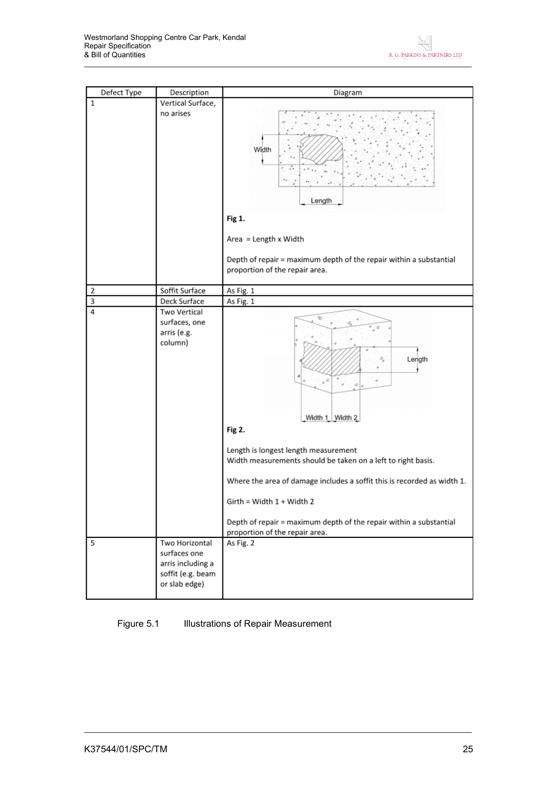| Defect Type | Description                                                                               | Diagram                                                                                                                                                                                                                                                                                                                                                                            |
|-------------|-------------------------------------------------------------------------------------------|------------------------------------------------------------------------------------------------------------------------------------------------------------------------------------------------------------------------------------------------------------------------------------------------------------------------------------------------------------------------------------|
| $\,1$       | Vertical Surface,                                                                         |                                                                                                                                                                                                                                                                                                                                                                                    |
|             | no arises                                                                                 | Width<br>$\epsilon_{\rm H}$<br>Length<br>Fig 1.<br>Area = Length x Width<br>Depth of repair = maximum depth of the repair within a substantial<br>proportion of the repair area.                                                                                                                                                                                                   |
|             | Soffit Surface                                                                            |                                                                                                                                                                                                                                                                                                                                                                                    |
| 2<br>3      | Deck Surface                                                                              | As Fig. 1<br>As Fig. 1                                                                                                                                                                                                                                                                                                                                                             |
| 4           | Two Vertical                                                                              |                                                                                                                                                                                                                                                                                                                                                                                    |
|             | surfaces, one<br>arris (e.g.<br>column)                                                   | 對<br>Length<br>ê,<br>, à<br>4<br>Width 1 Width 2<br>Fig 2.<br>Length is longest length measurement<br>Width measurements should be taken on a left to right basis.<br>Where the area of damage includes a soffit this is recorded as width 1.<br>Girth = Width 1 + Width 2<br>Depth of repair = maximum depth of the repair within a substantial<br>proportion of the repair area. |
| 5           | Two Horizontal<br>surfaces one<br>arris including a<br>soffit (e.g. beam<br>or slab edge) | As Fig. 2                                                                                                                                                                                                                                                                                                                                                                          |
|             |                                                                                           |                                                                                                                                                                                                                                                                                                                                                                                    |

Figure 5.1 **Illustrations of Repair Measurement**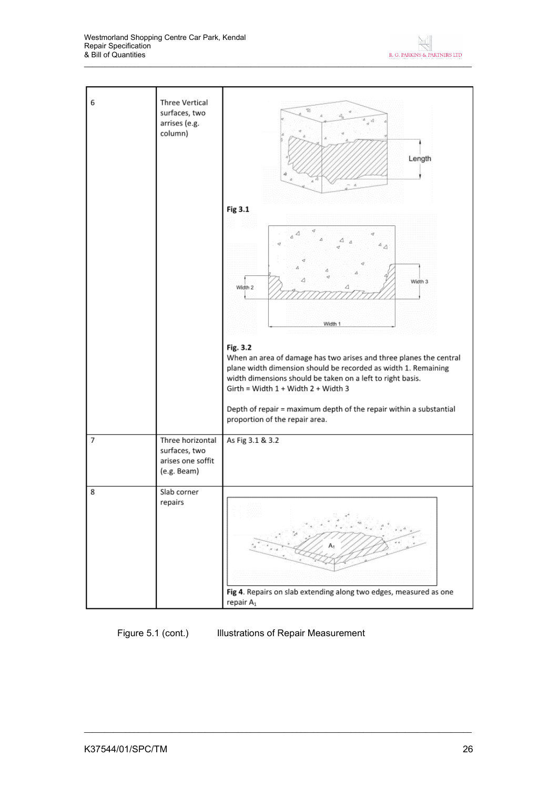Westmorland Shopping Centre Car Park, Kendal Repair Specification & Bill of Quantities



Figure 5.1 (cont.) Illustrations of Repair Measurement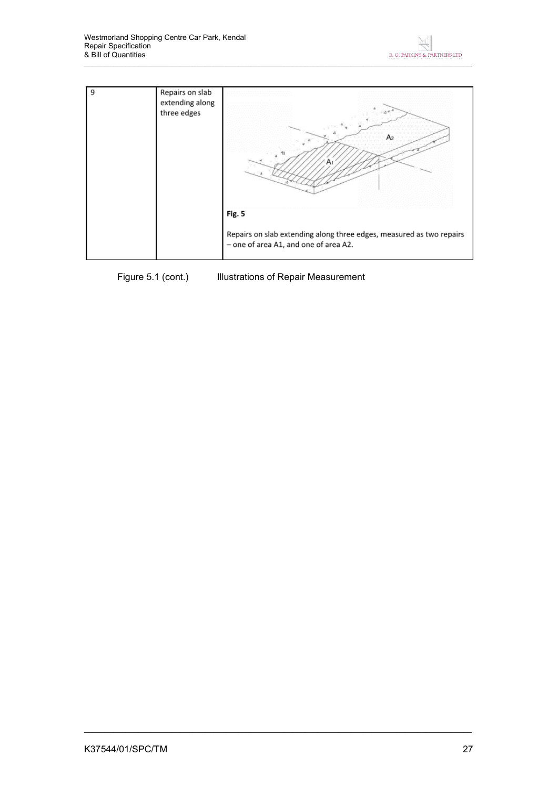



Figure 5.1 (cont.) Illustrations of Repair Measurement